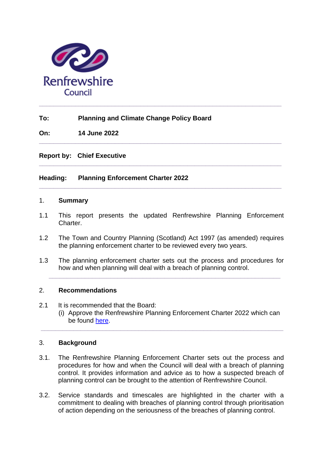

# **To: Planning and Climate Change Policy Board**

**On: 14 June 2022**

**Report by: Chief Executive** 

# **Heading: Planning Enforcement Charter 2022**

#### 1. **Summary**

1.1 This report presents the updated Renfrewshire Planning Enforcement Charter.

**\_\_\_\_\_\_\_\_\_\_\_\_\_\_\_\_\_\_\_\_\_\_\_\_\_\_\_\_\_\_\_\_\_\_\_\_\_\_\_\_\_\_\_\_\_\_\_\_\_\_\_\_\_\_\_\_\_\_\_\_\_\_\_\_\_\_\_**

**\_\_\_\_\_\_\_\_\_\_\_\_\_\_\_\_\_\_\_\_\_\_\_\_\_\_\_\_\_\_\_\_\_\_\_\_\_\_\_\_\_\_\_\_\_\_\_\_\_\_\_\_\_\_\_\_\_\_\_\_\_\_\_\_\_\_\_**

**\_\_\_\_\_\_\_\_\_\_\_\_\_\_\_\_\_\_\_\_\_\_\_\_\_\_\_\_\_\_\_\_\_\_\_\_\_\_\_\_\_\_\_\_\_\_\_\_\_\_\_\_\_\_\_\_\_\_\_\_\_\_\_\_\_\_\_**

- 1.2 The Town and Country Planning (Scotland) Act 1997 (as amended) requires the planning enforcement charter to be reviewed every two years.
- 1.3 The planning enforcement charter sets out the process and procedures for how and when planning will deal with a breach of planning control.

**\_\_\_\_\_\_\_\_\_\_\_\_\_\_\_\_\_\_\_\_\_\_\_\_\_\_\_\_\_\_\_\_\_\_\_\_\_\_\_\_\_\_\_\_\_\_\_\_\_\_\_\_\_\_\_\_\_\_\_\_\_\_\_\_**

### 2. **Recommendations**

- 2.1 It is recommended that the Board:
	- (i) Approve the Renfrewshire Planning Enforcement Charter 2022 which can be found [here.](https://www.renfrewshire.gov.uk/media/14632/Enforcement-Charter-2022/pdf/Enforcement_Charter_2022.pdf?m=1652780022890)

### 3. **Background**

3.1. The Renfrewshire Planning Enforcement Charter sets out the process and procedures for how and when the Council will deal with a breach of planning control. It provides information and advice as to how a suspected breach of planning control can be brought to the attention of Renfrewshire Council.

**\_\_\_\_\_\_\_\_\_\_\_\_\_\_\_\_\_\_\_\_\_\_\_\_\_\_\_\_\_\_\_\_\_\_\_\_\_\_\_\_\_\_\_\_\_\_\_\_\_\_\_\_\_\_\_\_\_\_\_\_\_\_\_\_\_\_\_**

3.2. Service standards and timescales are highlighted in the charter with a commitment to dealing with breaches of planning control through prioritisation of action depending on the seriousness of the breaches of planning control.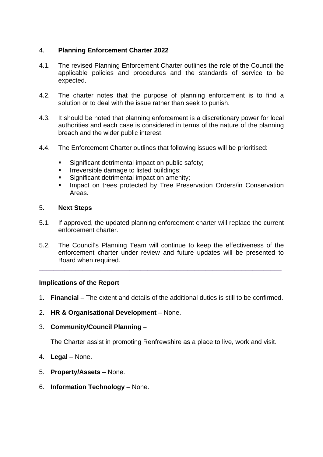## 4. **Planning Enforcement Charter 2022**

- 4.1. The revised Planning Enforcement Charter outlines the role of the Council the applicable policies and procedures and the standards of service to be expected.
- 4.2. The charter notes that the purpose of planning enforcement is to find a solution or to deal with the issue rather than seek to punish.
- 4.3. It should be noted that planning enforcement is a discretionary power for local authorities and each case is considered in terms of the nature of the planning breach and the wider public interest.
- 4.4. The Enforcement Charter outlines that following issues will be prioritised:
	- **Significant detrimental impact on public safety;**
	- Irreversible damage to listed buildings;
	- Significant detrimental impact on amenity:
	- **Impact on trees protected by Tree Preservation Orders/in Conservation** Areas.

### 5. **Next Steps**

- 5.1. If approved, the updated planning enforcement charter will replace the current enforcement charter.
- 5.2. The Council's Planning Team will continue to keep the effectiveness of the enforcement charter under review and future updates will be presented to Board when required.

**\_\_\_\_\_\_\_\_\_\_\_\_\_\_\_\_\_\_\_\_\_\_\_\_\_\_\_\_\_\_\_\_\_\_\_\_\_\_\_\_\_\_\_\_\_\_\_\_\_\_\_\_\_\_\_\_\_\_\_\_\_\_\_\_\_\_\_**

### **Implications of the Report**

- 1. **Financial** The extent and details of the additional duties is still to be confirmed.
- 2. **HR & Organisational Development** None.
- 3. **Community/Council Planning –**

The Charter assist in promoting Renfrewshire as a place to live, work and visit.

- 4. **Legal** None.
- 5. **Property/Assets** None.
- 6. **Information Technology** None.